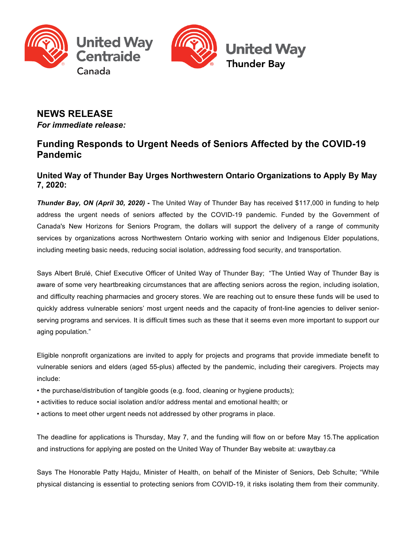



# **NEWS RELEASE**

*For immediate release:*

## **Funding Responds to Urgent Needs of Seniors Affected by the COVID-19 Pandemic**

## **United Way of Thunder Bay Urges Northwestern Ontario Organizations to Apply By May 7, 2020:**

*Thunder Bay, ON (April 30, 2020) -* The United Way of Thunder Bay has received \$117,000 in funding to help address the urgent needs of seniors affected by the COVID-19 pandemic. Funded by the Government of Canada's New Horizons for Seniors Program, the dollars will support the delivery of a range of community services by organizations across Northwestern Ontario working with senior and Indigenous Elder populations, including meeting basic needs, reducing social isolation, addressing food security, and transportation.

Says Albert Brulé, Chief Executive Officer of United Way of Thunder Bay; "The Untied Way of Thunder Bay is aware of some very heartbreaking circumstances that are affecting seniors across the region, including isolation, and difficulty reaching pharmacies and grocery stores. We are reaching out to ensure these funds will be used to quickly address vulnerable seniors' most urgent needs and the capacity of front-line agencies to deliver seniorserving programs and services. It is difficult times such as these that it seems even more important to support our aging population."

Eligible nonprofit organizations are invited to apply for projects and programs that provide immediate benefit to vulnerable seniors and elders (aged 55-plus) affected by the pandemic, including their caregivers. Projects may include:

- the purchase/distribution of tangible goods (e.g. food, cleaning or hygiene products);
- activities to reduce social isolation and/or address mental and emotional health; or
- actions to meet other urgent needs not addressed by other programs in place.

The deadline for applications is Thursday, May 7, and the funding will flow on or before May 15.The application and instructions for applying are posted on the United Way of Thunder Bay website at: uwaytbay.ca

Says The Honorable Patty Hajdu, Minister of Health, on behalf of the Minister of Seniors, Deb Schulte; "While physical distancing is essential to protecting seniors from COVID-19, it risks isolating them from their community.